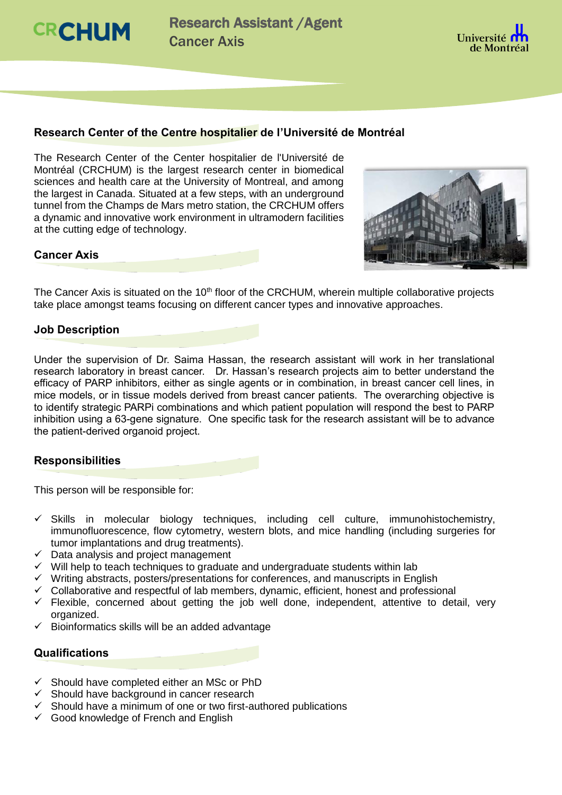**CRCHUM** 

Research Assistant /Agent Cancer Axis



# **Research Center of the Centre hospitalier de l'Université de Montréal**

The Research Center of the Center hospitalier de l'Université de Montréal (CRCHUM) is the largest research center in biomedical sciences and health care at the University of Montreal, and among the largest in Canada. Situated at a few steps, with an underground tunnel from the Champs de Mars metro station, the CRCHUM offers a dynamic and innovative work environment in ultramodern facilities at the cutting edge of technology.



#### **Cancer Axis**

The Cancer Axis is situated on the 10<sup>th</sup> floor of the CRCHUM, wherein multiple collaborative projects take place amongst teams focusing on different cancer types and innovative approaches.

#### **Job Description**

Under the supervision of Dr. Saima Hassan, the research assistant will work in her translational research laboratory in breast cancer. Dr. Hassan's research projects aim to better understand the efficacy of PARP inhibitors, either as single agents or in combination, in breast cancer cell lines, in mice models, or in tissue models derived from breast cancer patients. The overarching objective is to identify strategic PARPi combinations and which patient population will respond the best to PARP inhibition using a 63-gene signature. One specific task for the research assistant will be to advance the patient-derived organoid project.

## **Responsibilities**

This person will be responsible for:

- $\checkmark$  Skills in molecular biology techniques, including cell culture, immunohistochemistry, immunofluorescence, flow cytometry, western blots, and mice handling (including surgeries for tumor implantations and drug treatments).
- $\checkmark$  Data analysis and project management
- $\checkmark$  Will help to teach techniques to graduate and undergraduate students within lab
- $\checkmark$  Writing abstracts, posters/presentations for conferences, and manuscripts in English
- $\checkmark$  Collaborative and respectful of lab members, dynamic, efficient, honest and professional
- $\checkmark$  Flexible, concerned about getting the job well done, independent, attentive to detail, very organized.
- $\checkmark$  Bioinformatics skills will be an added advantage

## **Qualifications**

- $\checkmark$  Should have completed either an MSc or PhD
- $\checkmark$  Should have background in cancer research
- $\checkmark$  Should have a minimum of one or two first-authored publications
- $\checkmark$  Good knowledge of French and English